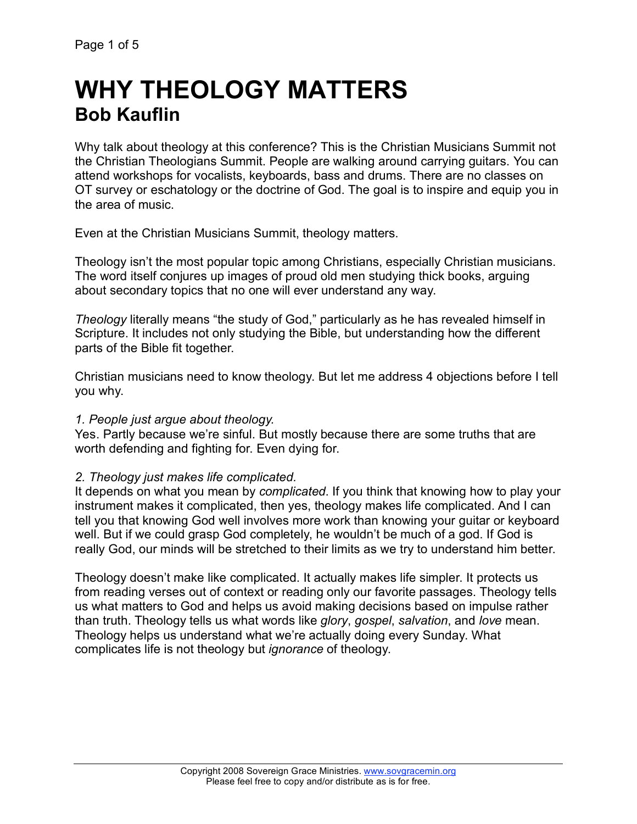# **WHY THEOLOGY MATTERS Bob Kauflin**

Why talk about theology at this conference? This is the Christian Musicians Summit not the Christian Theologians Summit. People are walking around carrying guitars. You can attend workshops for vocalists, keyboards, bass and drums. There are no classes on OT survey or eschatology or the doctrine of God. The goal is to inspire and equip you in the area of music.

Even at the Christian Musicians Summit, theology matters.

Theology isn't the most popular topic among Christians, especially Christian musicians. The word itself conjures up images of proud old men studying thick books, arguing about secondary topics that no one will ever understand any way.

*Theology* literally means "the study of God," particularly as he has revealed himself in Scripture. It includes not only studying the Bible, but understanding how the different parts of the Bible fit together.

Christian musicians need to know theology. But let me address 4 objections before I tell you why.

# *1. People just argue about theology.*

Yes. Partly because we're sinful. But mostly because there are some truths that are worth defending and fighting for. Even dying for.

# *2. Theology just makes life complicated.*

It depends on what you mean by *complicated*. If you think that knowing how to play your instrument makes it complicated, then yes, theology makes life complicated. And I can tell you that knowing God well involves more work than knowing your guitar or keyboard well. But if we could grasp God completely, he wouldn't be much of a god. If God is really God, our minds will be stretched to their limits as we try to understand him better.

Theology doesn't make like complicated. It actually makes life simpler. It protects us from reading verses out of context or reading only our favorite passages. Theology tells us what matters to God and helps us avoid making decisions based on impulse rather than truth. Theology tells us what words like *glory*, *gospel*, *salvation*, and *love* mean. Theology helps us understand what we're actually doing every Sunday. What complicates life is not theology but *ignorance* of theology.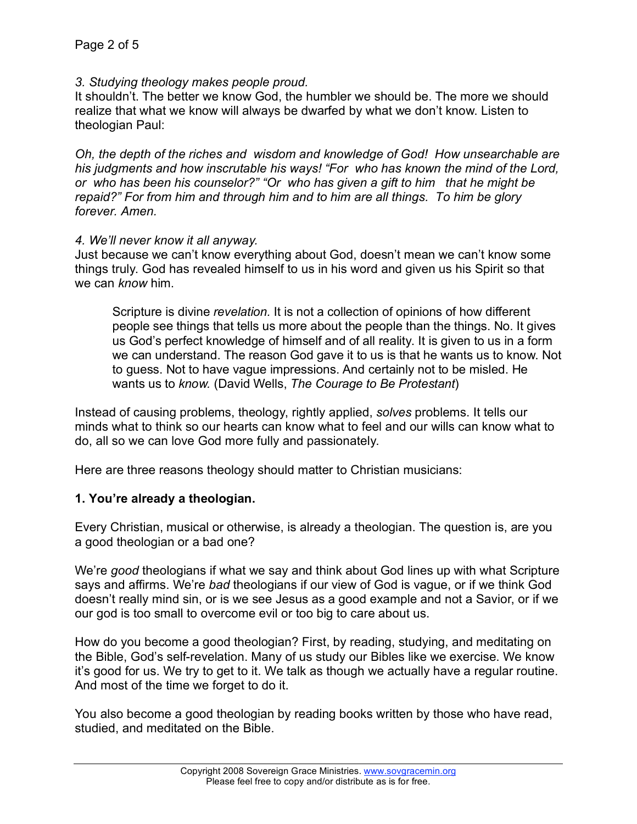*3. Studying theology makes people proud.*

It shouldn't. The better we know God, the humbler we should be. The more we should realize that what we know will always be dwarfed by what we don't know. Listen to theologian Paul:

*Oh, the depth of the riches and wisdom and knowledge of God! How unsearchable are his judgments and how inscrutable his ways! "For who has known the mind of the Lord, or who has been his counselor?" "Or who has given a gift to him that he might be repaid?" For from him and through him and to him are all things. To him be glory forever. Amen.* 

#### *4. We'll never know it all anyway.*

Just because we can't know everything about God, doesn't mean we can't know some things truly. God has revealed himself to us in his word and given us his Spirit so that we can *know* him.

Scripture is divine *revelation.* It is not a collection of opinions of how different people see things that tells us more about the people than the things. No. It gives us God's perfect knowledge of himself and of all reality. It is given to us in a form we can understand. The reason God gave it to us is that he wants us to know. Not to guess. Not to have vague impressions. And certainly not to be misled. He wants us to *know.* (David Wells, *The Courage to Be Protestant*)

Instead of causing problems, theology, rightly applied, *solves* problems. It tells our minds what to think so our hearts can know what to feel and our wills can know what to do, all so we can love God more fully and passionately.

Here are three reasons theology should matter to Christian musicians:

### **1. You're already a theologian.**

Every Christian, musical or otherwise, is already a theologian. The question is, are you a good theologian or a bad one?

We're *good* theologians if what we say and think about God lines up with what Scripture says and affirms. We're *bad* theologians if our view of God is vague, or if we think God doesn't really mind sin, or is we see Jesus as a good example and not a Savior, or if we our god is too small to overcome evil or too big to care about us.

How do you become a good theologian? First, by reading, studying, and meditating on the Bible, God's self-revelation. Many of us study our Bibles like we exercise. We know it's good for us. We try to get to it. We talk as though we actually have a regular routine. And most of the time we forget to do it.

You also become a good theologian by reading books written by those who have read, studied, and meditated on the Bible.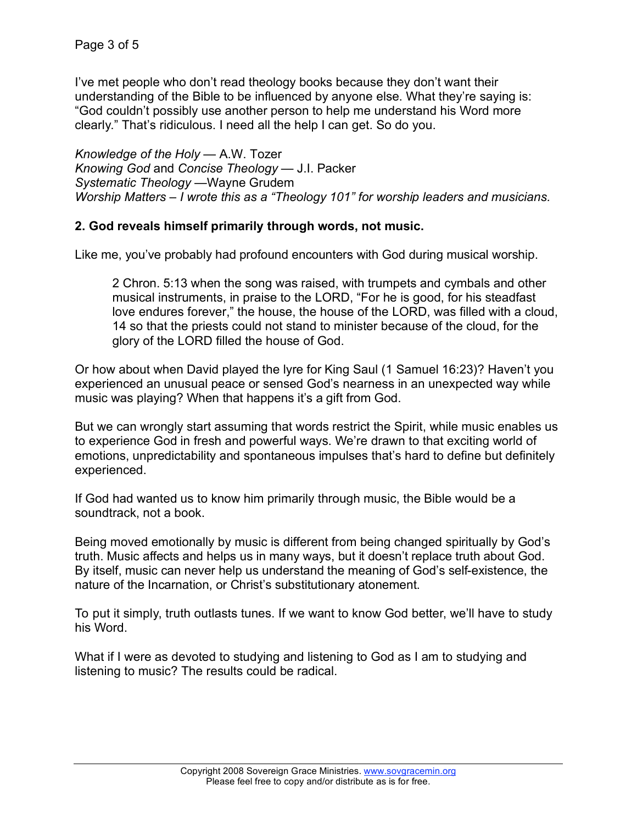I've met people who don't read theology books because they don't want their understanding of the Bible to be influenced by anyone else. What they're saying is: "God couldn't possibly use another person to help me understand his Word more clearly." That's ridiculous. I need all the help I can get. So do you.

*Knowledge of the Holy* — A.W. Tozer *Knowing God* and *Concise Theology* — J.I. Packer *Systematic Theology* —Wayne Grudem *Worship Matters – I wrote this as a "Theology 101" for worship leaders and musicians.*

## **2. God reveals himself primarily through words, not music.**

Like me, you've probably had profound encounters with God during musical worship.

2 Chron. 5:13 when the song was raised, with trumpets and cymbals and other musical instruments, in praise to the LORD, "For he is good, for his steadfast love endures forever," the house, the house of the LORD, was filled with a cloud, 14 so that the priests could not stand to minister because of the cloud, for the glory of the LORD filled the house of God.

Or how about when David played the lyre for King Saul (1 Samuel 16:23)? Haven't you experienced an unusual peace or sensed God's nearness in an unexpected way while music was playing? When that happens it's a gift from God.

But we can wrongly start assuming that words restrict the Spirit, while music enables us to experience God in fresh and powerful ways. We're drawn to that exciting world of emotions, unpredictability and spontaneous impulses that's hard to define but definitely experienced.

If God had wanted us to know him primarily through music, the Bible would be a soundtrack, not a book.

Being moved emotionally by music is different from being changed spiritually by God's truth. Music affects and helps us in many ways, but it doesn't replace truth about God. By itself, music can never help us understand the meaning of God's self-existence, the nature of the Incarnation, or Christ's substitutionary atonement.

To put it simply, truth outlasts tunes. If we want to know God better, we'll have to study his Word.

What if I were as devoted to studying and listening to God as I am to studying and listening to music? The results could be radical.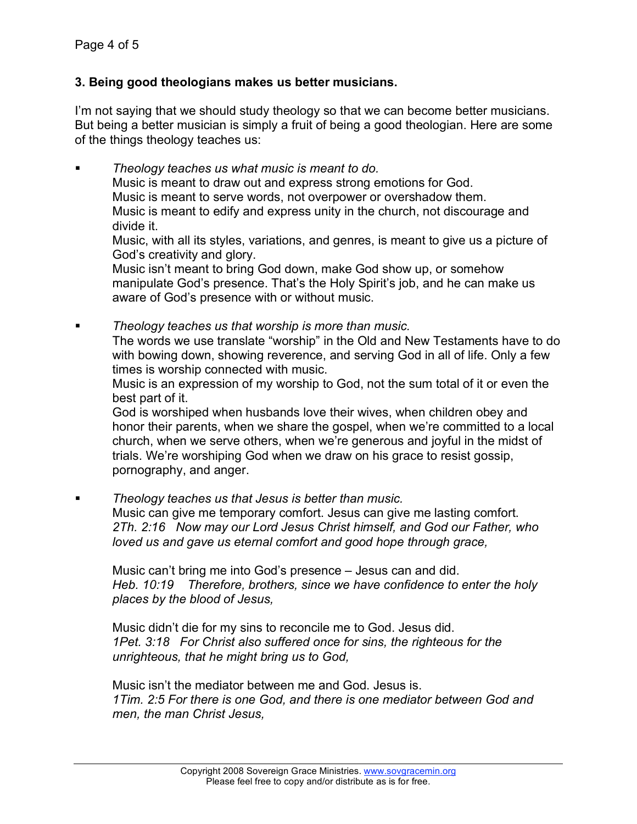# **3. Being good theologians makes us better musicians.**

I'm not saying that we should study theology so that we can become better musicians. But being a better musician is simply a fruit of being a good theologian. Here are some of the things theology teaches us:

 *Theology teaches us what music is meant to do.* Music is meant to draw out and express strong emotions for God. Music is meant to serve words, not overpower or overshadow them. Music is meant to edify and express unity in the church, not discourage and divide it. Music, with all its styles, variations, and genres, is meant to give us a picture of God's creativity and glory. Music isn't meant to bring God down, make God show up, or somehow

manipulate God's presence. That's the Holy Spirit's job, and he can make us aware of God's presence with or without music.

 *Theology teaches us that worship is more than music.* The words we use translate "worship" in the Old and New Testaments have to do with bowing down, showing reverence, and serving God in all of life. Only a few times is worship connected with music.

Music is an expression of my worship to God, not the sum total of it or even the best part of it.

God is worshiped when husbands love their wives, when children obey and honor their parents, when we share the gospel, when we're committed to a local church, when we serve others, when we're generous and joyful in the midst of trials. We're worshiping God when we draw on his grace to resist gossip, pornography, and anger.

*Theology teaches us that Jesus is better than music.*

Music can give me temporary comfort. Jesus can give me lasting comfort. *2Th. 2:16 Now may our Lord Jesus Christ himself, and God our Father, who loved us and gave us eternal comfort and good hope through grace,* 

Music can't bring me into God's presence – Jesus can and did. *Heb. 10:19 Therefore, brothers, since we have confidence to enter the holy places by the blood of Jesus,*

Music didn't die for my sins to reconcile me to God. Jesus did. *1Pet. 3:18 For Christ also suffered once for sins, the righteous for the unrighteous, that he might bring us to God,* 

Music isn't the mediator between me and God. Jesus is. *1Tim. 2:5 For there is one God, and there is one mediator between God and men, the man Christ Jesus,*